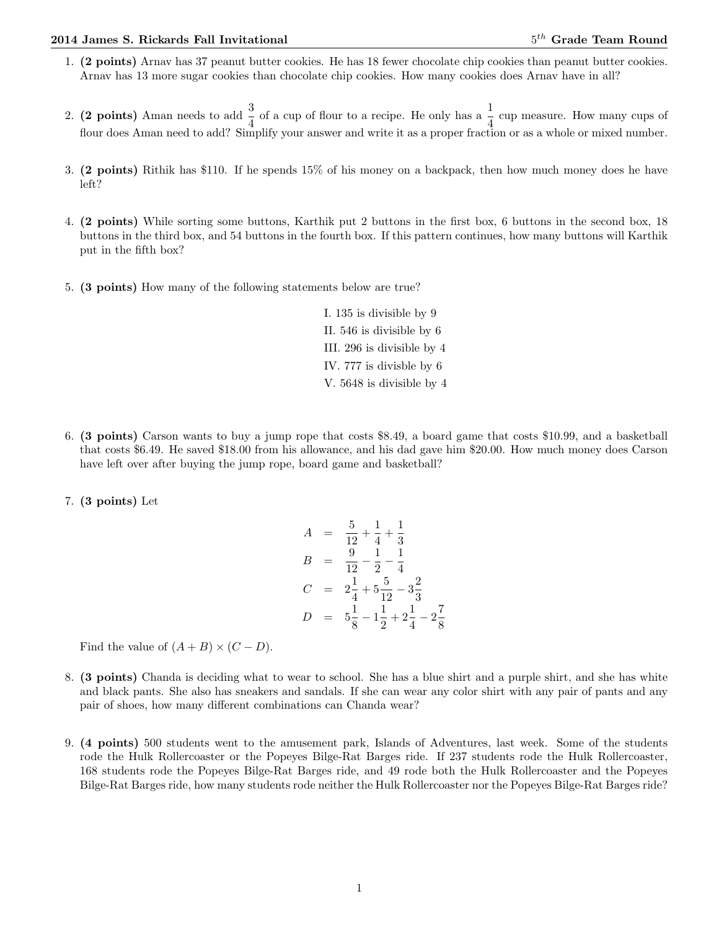## 2014 James S. Rickards Fall Invitational 5

- 1. (2 points) Arnav has 37 peanut butter cookies. He has 18 fewer chocolate chip cookies than peanut butter cookies. Arnav has 13 more sugar cookies than chocolate chip cookies. How many cookies does Arnav have in all?
- 2. (2 points) Aman needs to add  $\frac{3}{4}$  of a cup of flour to a recipe. He only has a  $\frac{1}{4}$  cup measure. How many cups of flour does Aman need to add? Simplify your answer and write it as a proper fraction or as a whole or mixed number.
- 3. (2 points) Rithik has \$110. If he spends 15% of his money on a backpack, then how much money does he have left?
- 4. (2 points) While sorting some buttons, Karthik put 2 buttons in the first box, 6 buttons in the second box, 18 buttons in the third box, and 54 buttons in the fourth box. If this pattern continues, how many buttons will Karthik put in the fifth box?
- 5. (3 points) How many of the following statements below are true?

I. 135 is divisible by 9 II. 546 is divisible by 6 III. 296 is divisible by 4 IV. 777 is divisble by 6 V. 5648 is divisible by 4

- 6. (3 points) Carson wants to buy a jump rope that costs \$8.49, a board game that costs \$10.99, and a basketball that costs \$6.49. He saved \$18.00 from his allowance, and his dad gave him \$20.00. How much money does Carson have left over after buying the jump rope, board game and basketball?
- 7. (3 points) Let

$$
A = \frac{5}{12} + \frac{1}{4} + \frac{1}{3}
$$
  
\n
$$
B = \frac{9}{12} - \frac{1}{2} - \frac{1}{4}
$$
  
\n
$$
C = 2\frac{1}{4} + 5\frac{5}{12} - 3\frac{2}{3}
$$
  
\n
$$
D = 5\frac{1}{8} - 1\frac{1}{2} + 2\frac{1}{4} - 2\frac{7}{8}
$$

Find the value of  $(A + B) \times (C - D)$ .

- 8. (3 points) Chanda is deciding what to wear to school. She has a blue shirt and a purple shirt, and she has white and black pants. She also has sneakers and sandals. If she can wear any color shirt with any pair of pants and any pair of shoes, how many different combinations can Chanda wear?
- 9. (4 points) 500 students went to the amusement park, Islands of Adventures, last week. Some of the students rode the Hulk Rollercoaster or the Popeyes Bilge-Rat Barges ride. If 237 students rode the Hulk Rollercoaster, 168 students rode the Popeyes Bilge-Rat Barges ride, and 49 rode both the Hulk Rollercoaster and the Popeyes Bilge-Rat Barges ride, how many students rode neither the Hulk Rollercoaster nor the Popeyes Bilge-Rat Barges ride?